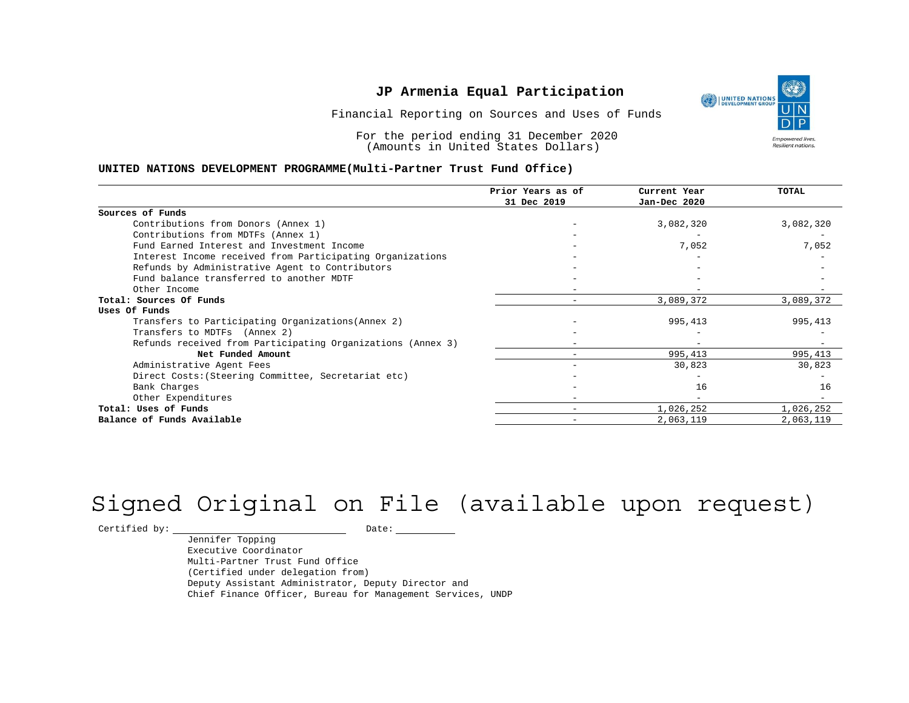Financial Reporting on Sources and Uses of Funds

For the period ending 31 December 2020 (Amounts in United States Dollars)

#### **UNITED NATIONS DEVELOPMENT PROGRAMME(Multi-Partner Trust Fund Office)**

|                                                             | Prior Years as of | Current Year | TOTAL     |
|-------------------------------------------------------------|-------------------|--------------|-----------|
|                                                             | 31 Dec 2019       | Jan-Dec 2020 |           |
| Sources of Funds                                            |                   |              |           |
| Contributions from Donors (Annex 1)                         |                   | 3,082,320    | 3,082,320 |
| Contributions from MDTFs (Annex 1)                          |                   |              |           |
| Fund Earned Interest and Investment Income                  |                   | 7,052        | 7,052     |
| Interest Income received from Participating Organizations   |                   |              |           |
| Refunds by Administrative Agent to Contributors             |                   |              |           |
| Fund balance transferred to another MDTF                    |                   |              |           |
| Other Income                                                |                   |              |           |
| Total: Sources Of Funds                                     | -                 | 3,089,372    | 3,089,372 |
| Uses Of Funds                                               |                   |              |           |
| Transfers to Participating Organizations (Annex 2)          |                   | 995,413      | 995,413   |
| Transfers to MDTFs (Annex 2)                                |                   |              |           |
| Refunds received from Participating Organizations (Annex 3) |                   |              |           |
| Net Funded Amount                                           |                   | 995,413      | 995,413   |
| Administrative Agent Fees                                   |                   | 30,823       | 30,823    |
| Direct Costs: (Steering Committee, Secretariat etc)         |                   |              |           |
| Bank Charges                                                |                   | 16           | 16        |
| Other Expenditures                                          |                   |              |           |
| Total: Uses of Funds                                        |                   | 1,026,252    | 1,026,252 |
| Balance of Funds Available                                  |                   | 2,063,119    | 2,063,119 |

# Signed Original on File (available upon request)

 $\begin{tabular}{c} \multicolumn{2}{c}{{\texttt{Certified by:}}}} \quad \quad \texttt{Date:} \end{tabular}$ 

Jennifer Topping Executive Coordinator Multi-Partner Trust Fund Office (Certified under delegation from) Deputy Assistant Administrator, Deputy Director and Chief Finance Officer, Bureau for Management Services, UNDP



Resilient nations.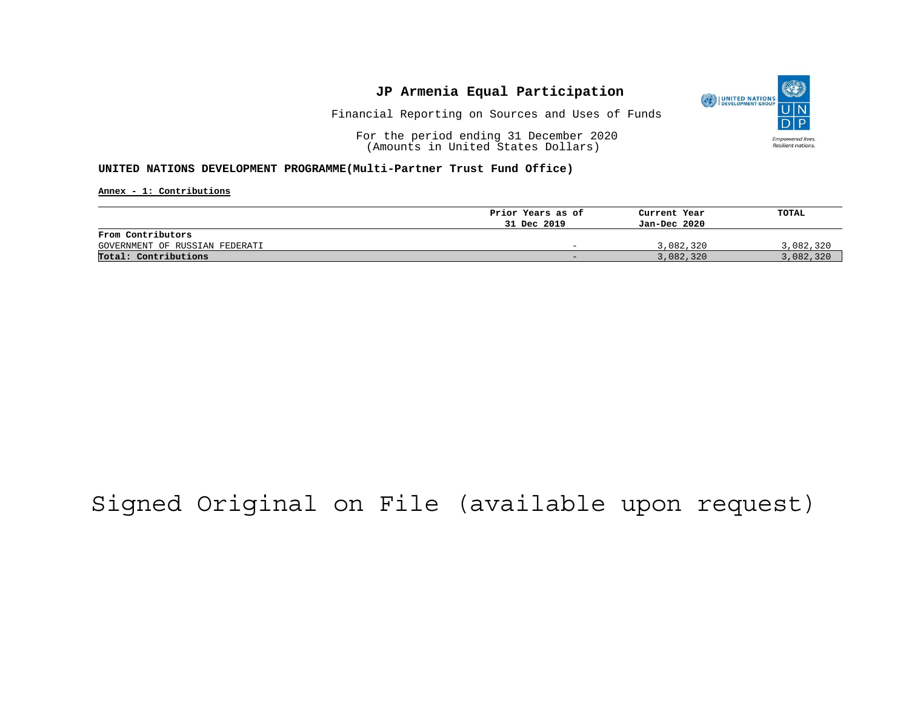

Financial Reporting on Sources and Uses of Funds

For the period ending 31 December 2020 (Amounts in United States Dollars)

#### **UNITED NATIONS DEVELOPMENT PROGRAMME(Multi-Partner Trust Fund Office)**

**Annex - 1: Contributions**

|                                | Prior Years as of | Current Year | TOTAL     |
|--------------------------------|-------------------|--------------|-----------|
|                                | 31 Dec 2019       | Jan-Dec 2020 |           |
| From Contributors              |                   |              |           |
| GOVERNMENT OF RUSSIAN FEDERATI | -                 | 3,082,320    | 3,082,320 |
| Total: Contributions           | -                 | 3,082,320    | 3,082,320 |

# Signed Original on File (available upon request)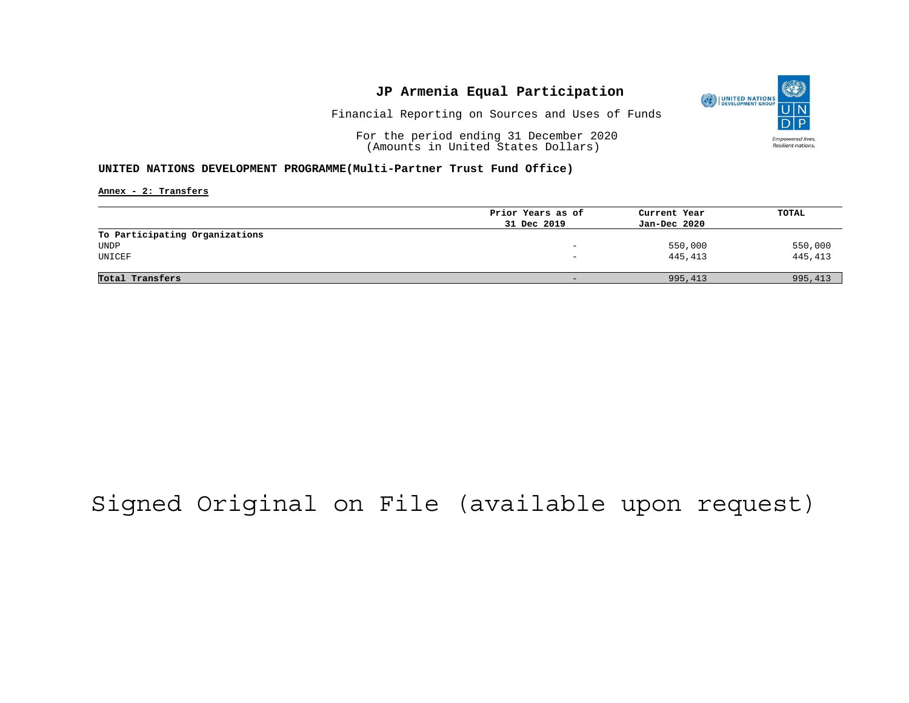

Financial Reporting on Sources and Uses of Funds

For the period ending 31 December 2020 (Amounts in United States Dollars)

#### **UNITED NATIONS DEVELOPMENT PROGRAMME(Multi-Partner Trust Fund Office)**

**Annex - 2: Transfers**

|                                | Prior Years as of        | Current Year | TOTAL   |
|--------------------------------|--------------------------|--------------|---------|
|                                | 31 Dec 2019              | Jan-Dec 2020 |         |
| To Participating Organizations |                          |              |         |
| UNDP                           | $\overline{\phantom{0}}$ | 550,000      | 550,000 |
| UNICEF                         |                          | 445,413      | 445,413 |
|                                |                          |              |         |
| Total Transfers                | $\overline{\phantom{0}}$ | 995,413      | 995,413 |
|                                |                          |              |         |

# Signed Original on File (available upon request)